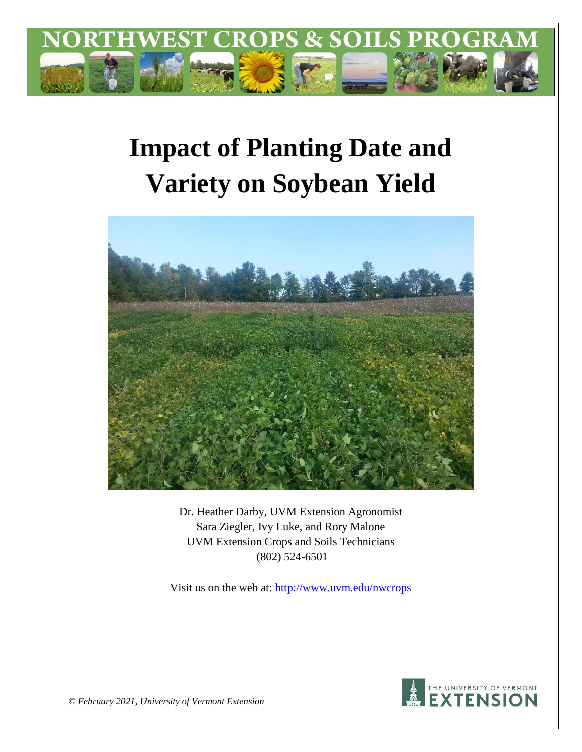

# **Impact of Planting Date and Variety on Soybean Yield**



Dr. Heather Darby, UVM Extension Agronomist Sara Ziegler, Ivy Luke, and Rory Malone UVM Extension Crops and Soils Technicians (802) 524-6501

Visit us on the web at: <http://www.uvm.edu/nwcrops>



*© February 2021, University of Vermont Extension*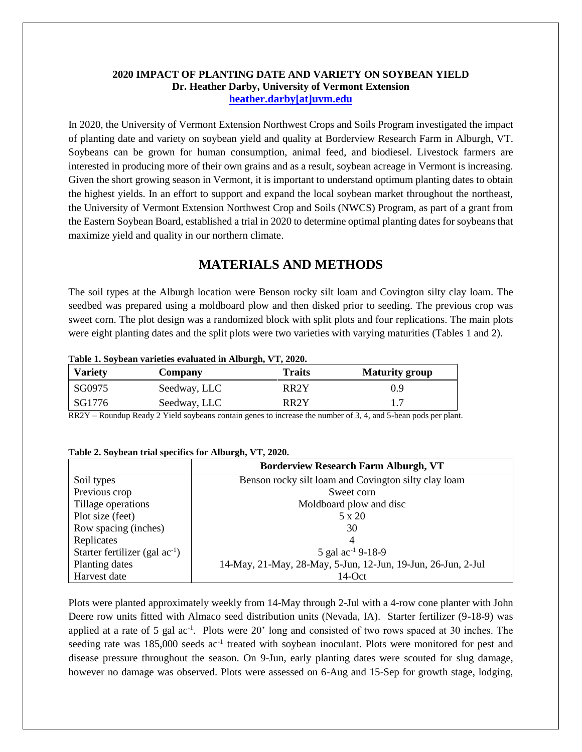#### **2020 IMPACT OF PLANTING DATE AND VARIETY ON SOYBEAN YIELD Dr. Heather Darby, University of Vermont Extension [heather.darby\[at\]uvm.edu](mailto:heather.darby@uvm.edu?subject=2012%20Short%20Season%20Corn%20Report)**

In 2020, the University of Vermont Extension Northwest Crops and Soils Program investigated the impact of planting date and variety on soybean yield and quality at Borderview Research Farm in Alburgh, VT. Soybeans can be grown for human consumption, animal feed, and biodiesel. Livestock farmers are interested in producing more of their own grains and as a result, soybean acreage in Vermont is increasing. Given the short growing season in Vermont, it is important to understand optimum planting dates to obtain the highest yields. In an effort to support and expand the local soybean market throughout the northeast, the University of Vermont Extension Northwest Crop and Soils (NWCS) Program, as part of a grant from the Eastern Soybean Board, established a trial in 2020 to determine optimal planting dates for soybeans that maximize yield and quality in our northern climate.

# **MATERIALS AND METHODS**

The soil types at the Alburgh location were Benson rocky silt loam and Covington silty clay loam. The seedbed was prepared using a moldboard plow and then disked prior to seeding. The previous crop was sweet corn. The plot design was a randomized block with split plots and four replications. The main plots were eight planting dates and the split plots were two varieties with varying maturities (Tables 1 and 2).

#### **Table 1. Soybean varieties evaluated in Alburgh, VT, 2020.**

| <b>Variety</b> | Company      | Traits            | <b>Maturity group</b> |
|----------------|--------------|-------------------|-----------------------|
| SG0975         | Seedway, LLC | RR2Y              | 0.9                   |
| SG1776         | Seedway, LLC | RR <sub>2</sub> Y |                       |

RR2Y – Roundup Ready 2 Yield soybeans contain genes to increase the number of 3, 4, and 5-bean pods per plant.

#### **Table 2. Soybean trial specifics for Alburgh, VT, 2020.**

|                                     | <b>Borderview Research Farm Alburgh, VT</b>                  |  |  |  |  |
|-------------------------------------|--------------------------------------------------------------|--|--|--|--|
| Soil types                          | Benson rocky silt loam and Covington silty clay loam         |  |  |  |  |
| Previous crop                       | Sweet corn                                                   |  |  |  |  |
| Tillage operations                  | Moldboard plow and disc                                      |  |  |  |  |
| Plot size (feet)                    | 5 x 20                                                       |  |  |  |  |
| Row spacing (inches)                | 30                                                           |  |  |  |  |
| Replicates                          | 4                                                            |  |  |  |  |
| Starter fertilizer (gal $ac^{-1}$ ) | 5 gal $ac^{-1}$ 9-18-9                                       |  |  |  |  |
| Planting dates                      | 14-May, 21-May, 28-May, 5-Jun, 12-Jun, 19-Jun, 26-Jun, 2-Jul |  |  |  |  |
| Harvest date                        | $14$ -Oct                                                    |  |  |  |  |

Plots were planted approximately weekly from 14-May through 2-Jul with a 4-row cone planter with John Deere row units fitted with Almaco seed distribution units (Nevada, IA). Starter fertilizer (9-18-9) was applied at a rate of 5 gal ac<sup>-1</sup>. Plots were 20' long and consisted of two rows spaced at 30 inches. The seeding rate was 185,000 seeds ac<sup>-1</sup> treated with soybean inoculant. Plots were monitored for pest and disease pressure throughout the season. On 9-Jun, early planting dates were scouted for slug damage, however no damage was observed. Plots were assessed on 6-Aug and 15-Sep for growth stage, lodging,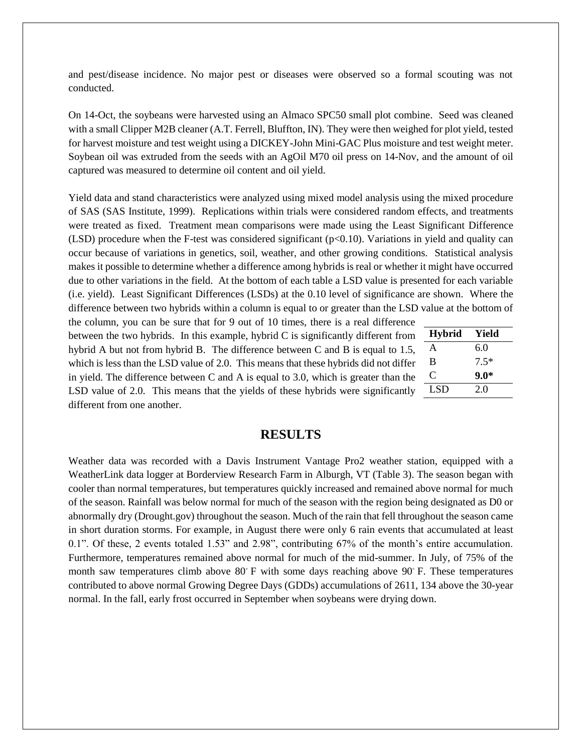and pest/disease incidence. No major pest or diseases were observed so a formal scouting was not conducted.

On 14-Oct, the soybeans were harvested using an Almaco SPC50 small plot combine. Seed was cleaned with a small Clipper M2B cleaner (A.T. Ferrell, Bluffton, IN). They were then weighed for plot yield, tested for harvest moisture and test weight using a DICKEY-John Mini-GAC Plus moisture and test weight meter. Soybean oil was extruded from the seeds with an AgOil M70 oil press on 14-Nov, and the amount of oil captured was measured to determine oil content and oil yield.

Yield data and stand characteristics were analyzed using mixed model analysis using the mixed procedure of SAS (SAS Institute, 1999). Replications within trials were considered random effects, and treatments were treated as fixed. Treatment mean comparisons were made using the Least Significant Difference (LSD) procedure when the F-test was considered significant ( $p<0.10$ ). Variations in yield and quality can occur because of variations in genetics, soil, weather, and other growing conditions. Statistical analysis makes it possible to determine whether a difference among hybrids is real or whether it might have occurred due to other variations in the field. At the bottom of each table a LSD value is presented for each variable (i.e. yield). Least Significant Differences (LSDs) at the 0.10 level of significance are shown. Where the difference between two hybrids within a column is equal to or greater than the LSD value at the bottom of

the column, you can be sure that for 9 out of 10 times, there is a real difference between the two hybrids. In this example, hybrid C is significantly different from hybrid A but not from hybrid B. The difference between C and B is equal to 1.5, which is less than the LSD value of 2.0. This means that these hybrids did not differ in yield. The difference between C and A is equal to 3.0, which is greater than the LSD value of 2.0. This means that the yields of these hybrids were significantly different from one another.

| <b>Hybrid</b> | Yield  |
|---------------|--------|
| A             | 6.0    |
| B             | $7.5*$ |
| C             | $9.0*$ |
| LSD           | 2.0    |

#### **RESULTS**

Weather data was recorded with a Davis Instrument Vantage Pro2 weather station, equipped with a WeatherLink data logger at Borderview Research Farm in Alburgh, VT (Table 3). The season began with cooler than normal temperatures, but temperatures quickly increased and remained above normal for much of the season. Rainfall was below normal for much of the season with the region being designated as D0 or abnormally dry (Drought.gov) throughout the season. Much of the rain that fell throughout the season came in short duration storms. For example, in August there were only 6 rain events that accumulated at least 0.1". Of these, 2 events totaled 1.53" and 2.98", contributing 67% of the month's entire accumulation. Furthermore, temperatures remained above normal for much of the mid-summer. In July, of 75% of the month saw temperatures climb above 80 $\degree$  F with some days reaching above 90 $\degree$  F. These temperatures contributed to above normal Growing Degree Days (GDDs) accumulations of 2611, 134 above the 30-year normal. In the fall, early frost occurred in September when soybeans were drying down.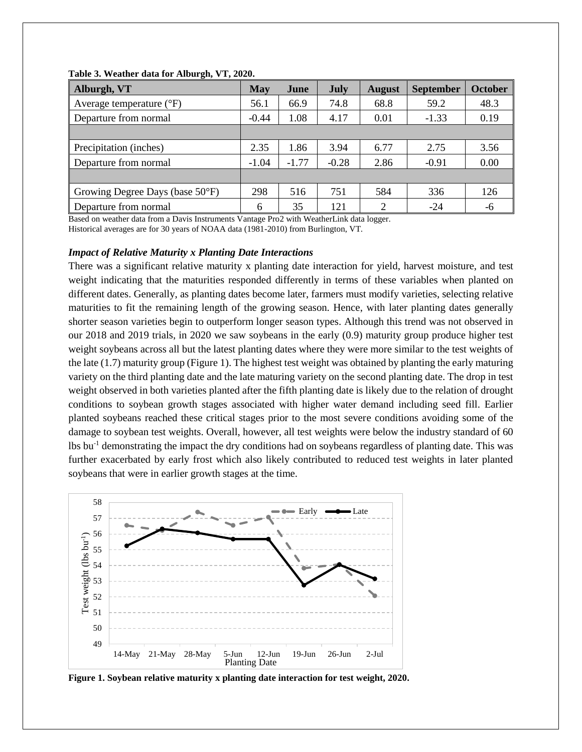| Alburgh, VT                               | <b>May</b> | June    | <b>July</b> | <b>August</b> | <b>September</b> | <b>October</b> |
|-------------------------------------------|------------|---------|-------------|---------------|------------------|----------------|
| Average temperature $({}^{\circ}F)$       | 56.1       | 66.9    | 74.8        | 68.8          | 59.2             | 48.3           |
| Departure from normal                     | $-0.44$    | 1.08    | 4.17        | 0.01          | $-1.33$          | 0.19           |
|                                           |            |         |             |               |                  |                |
| Precipitation (inches)                    | 2.35       | 1.86    | 3.94        | 6.77          | 2.75             | 3.56           |
| Departure from normal                     | $-1.04$    | $-1.77$ | $-0.28$     | 2.86          | $-0.91$          | 0.00           |
|                                           |            |         |             |               |                  |                |
| Growing Degree Days (base $50^{\circ}$ F) | 298        | 516     | 751         | 584           | 336              | 126            |
| Departure from normal                     | 6          | 35      | 121         | ∍             | $-24$            | -6             |

#### **Table 3. Weather data for Alburgh, VT, 2020.**

Based on weather data from a Davis Instruments Vantage Pro2 with WeatherLink data logger. Historical averages are for 30 years of NOAA data (1981-2010) from Burlington, VT.

#### *Impact of Relative Maturity x Planting Date Interactions*

There was a significant relative maturity x planting date interaction for yield, harvest moisture, and test weight indicating that the maturities responded differently in terms of these variables when planted on different dates. Generally, as planting dates become later, farmers must modify varieties, selecting relative maturities to fit the remaining length of the growing season. Hence, with later planting dates generally shorter season varieties begin to outperform longer season types. Although this trend was not observed in our 2018 and 2019 trials, in 2020 we saw soybeans in the early (0.9) maturity group produce higher test weight soybeans across all but the latest planting dates where they were more similar to the test weights of the late (1.7) maturity group (Figure 1). The highest test weight was obtained by planting the early maturing variety on the third planting date and the late maturing variety on the second planting date. The drop in test weight observed in both varieties planted after the fifth planting date is likely due to the relation of drought conditions to soybean growth stages associated with higher water demand including seed fill. Earlier planted soybeans reached these critical stages prior to the most severe conditions avoiding some of the damage to soybean test weights. Overall, however, all test weights were below the industry standard of 60 lbs bu-1 demonstrating the impact the dry conditions had on soybeans regardless of planting date. This was further exacerbated by early frost which also likely contributed to reduced test weights in later planted soybeans that were in earlier growth stages at the time.



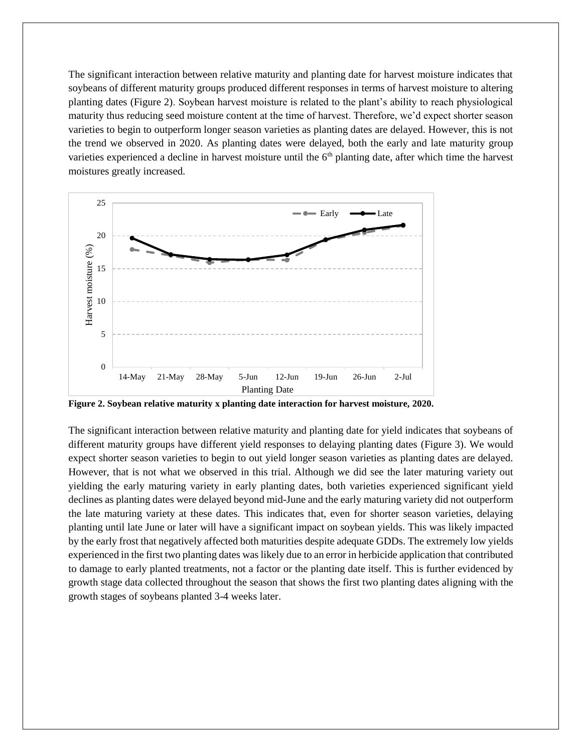The significant interaction between relative maturity and planting date for harvest moisture indicates that soybeans of different maturity groups produced different responses in terms of harvest moisture to altering planting dates (Figure 2). Soybean harvest moisture is related to the plant's ability to reach physiological maturity thus reducing seed moisture content at the time of harvest. Therefore, we'd expect shorter season varieties to begin to outperform longer season varieties as planting dates are delayed. However, this is not the trend we observed in 2020. As planting dates were delayed, both the early and late maturity group varieties experienced a decline in harvest moisture until the 6<sup>th</sup> planting date, after which time the harvest moistures greatly increased.



**Figure 2. Soybean relative maturity x planting date interaction for harvest moisture, 2020.**

The significant interaction between relative maturity and planting date for yield indicates that soybeans of different maturity groups have different yield responses to delaying planting dates (Figure 3). We would expect shorter season varieties to begin to out yield longer season varieties as planting dates are delayed. However, that is not what we observed in this trial. Although we did see the later maturing variety out yielding the early maturing variety in early planting dates, both varieties experienced significant yield declines as planting dates were delayed beyond mid-June and the early maturing variety did not outperform the late maturing variety at these dates. This indicates that, even for shorter season varieties, delaying planting until late June or later will have a significant impact on soybean yields. This was likely impacted by the early frost that negatively affected both maturities despite adequate GDDs. The extremely low yields experienced in the first two planting dates was likely due to an error in herbicide application that contributed to damage to early planted treatments, not a factor or the planting date itself. This is further evidenced by growth stage data collected throughout the season that shows the first two planting dates aligning with the growth stages of soybeans planted 3-4 weeks later.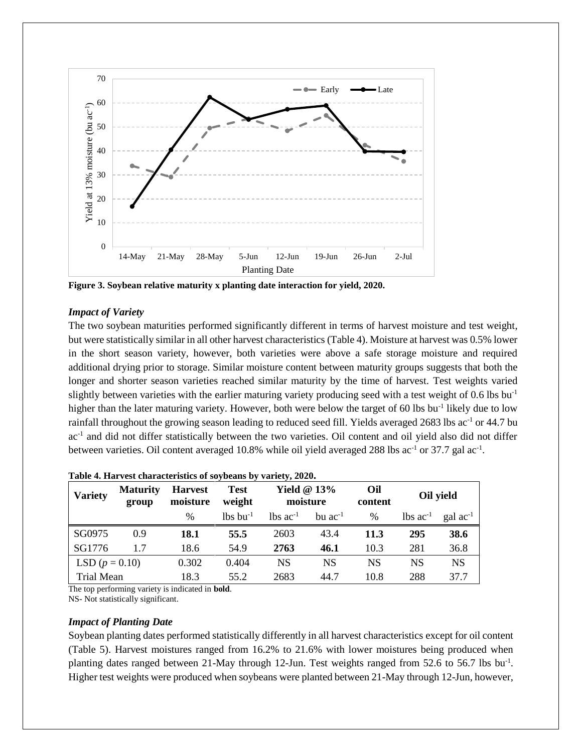

**Figure 3. Soybean relative maturity x planting date interaction for yield, 2020.**

#### *Impact of Variety*

The two soybean maturities performed significantly different in terms of harvest moisture and test weight, but were statistically similar in all other harvest characteristics (Table 4). Moisture at harvest was 0.5% lower in the short season variety, however, both varieties were above a safe storage moisture and required additional drying prior to storage. Similar moisture content between maturity groups suggests that both the longer and shorter season varieties reached similar maturity by the time of harvest. Test weights varied slightly between varieties with the earlier maturing variety producing seed with a test weight of 0.6 lbs bu<sup>-1</sup> higher than the later maturing variety. However, both were below the target of 60 lbs bu<sup>-1</sup> likely due to low rainfall throughout the growing season leading to reduced seed fill. Yields averaged 2683 lbs ac<sup>-1</sup> or 44.7 bu ac<sup>-1</sup> and did not differ statistically between the two varieties. Oil content and oil yield also did not differ between varieties. Oil content averaged 10.8% while oil yield averaged 288 lbs ac<sup>-1</sup> or 37.7 gal ac<sup>-1</sup>.

| <b>Variety</b>   | <b>Maturity</b><br>group | <b>Harvest</b><br>moisture | Test<br>weight         | Yield $@13\%$<br>moisture     |              | Oil<br>content | Oil yield                     |               |
|------------------|--------------------------|----------------------------|------------------------|-------------------------------|--------------|----------------|-------------------------------|---------------|
|                  |                          | $\frac{0}{0}$              | $lbs$ bu <sup>-1</sup> | $\text{lbs}$ ac <sup>-1</sup> | bu $ac^{-1}$ | $\frac{0}{0}$  | $\text{lbs}$ ac <sup>-1</sup> | gal $ac^{-1}$ |
| SG0975           | 0.9                      | 18.1                       | 55.5                   | 2603                          | 43.4         | 11.3           | 295                           | <b>38.6</b>   |
| SG1776           | 1.7                      | 18.6                       | 54.9                   | 2763                          | 46.1         | 10.3           | 281                           | 36.8          |
| LSD $(p = 0.10)$ |                          | 0.302                      | 0.404                  | <b>NS</b>                     | NS           | <b>NS</b>      | NS                            | <b>NS</b>     |
| Trial Mean       |                          | 18.3                       | 55.2                   | 2683                          | 44.7         | 10.8           | 288                           | 37.7          |

#### **Table 4. Harvest characteristics of soybeans by variety, 2020.**

The top performing variety is indicated in **bold**.

NS- Not statistically significant.

#### *Impact of Planting Date*

Soybean planting dates performed statistically differently in all harvest characteristics except for oil content (Table 5). Harvest moistures ranged from 16.2% to 21.6% with lower moistures being produced when planting dates ranged between 21-May through 12-Jun. Test weights ranged from 52.6 to 56.7 lbs bu<sup>-1</sup>. Higher test weights were produced when soybeans were planted between 21-May through 12-Jun, however,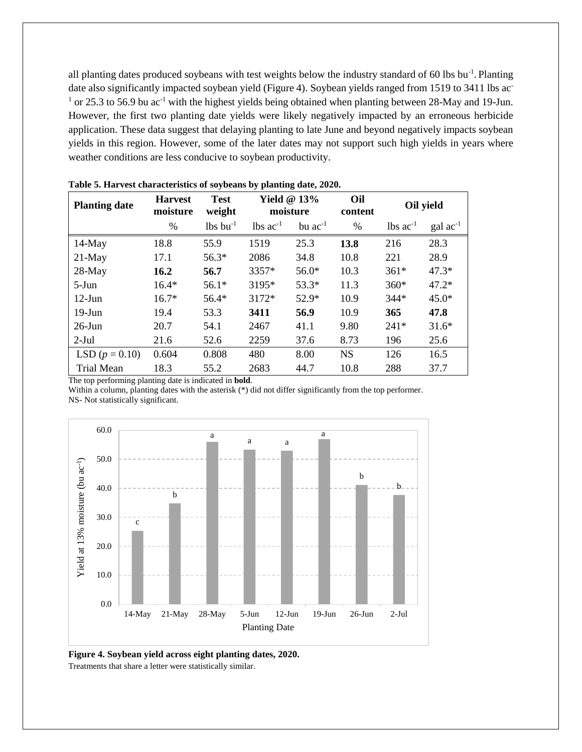all planting dates produced soybeans with test weights below the industry standard of 60 lbs bu<sup>-1</sup>. Planting date also significantly impacted soybean yield (Figure 4). Soybean yields ranged from 1519 to 3411 lbs ac- $1$  or 25.3 to 56.9 bu ac<sup>-1</sup> with the highest yields being obtained when planting between 28-May and 19-Jun. However, the first two planting date yields were likely negatively impacted by an erroneous herbicide application. These data suggest that delaying planting to late June and beyond negatively impacts soybean yields in this region. However, some of the later dates may not support such high yields in years where weather conditions are less conducive to soybean productivity.

| <b>Planting date</b> | <b>Harvest</b><br>moisture | <b>Test</b><br>weight  | Yield $@13%$<br>moisture |                | Oil<br>content | Oil yield              |                      |
|----------------------|----------------------------|------------------------|--------------------------|----------------|----------------|------------------------|----------------------|
|                      | $\%$                       | $lbs$ bu <sup>-1</sup> | $lbs$ ac <sup>-1</sup>   | $bu$ $ac^{-1}$ | %              | $lbs$ ac <sup>-1</sup> | $\text{gal ac}^{-1}$ |
| $14-May$             | 18.8                       | 55.9                   | 1519                     | 25.3           | 13.8           | 216                    | 28.3                 |
| $21-May$             | 17.1                       | $56.3*$                | 2086                     | 34.8           | 10.8           | 221                    | 28.9                 |
| 28-May               | 16.2                       | 56.7                   | 3357*                    | $56.0*$        | 10.3           | $361*$                 | $47.3*$              |
| $5-J$ un             | $16.4*$                    | $56.1*$                | 3195*                    | $53.3*$        | 11.3           | $360*$                 | $47.2*$              |
| $12$ -Jun            | $16.7*$                    | 56.4*                  | 3172*                    | $52.9*$        | 10.9           | $344*$                 | $45.0*$              |
| $19$ -Jun            | 19.4                       | 53.3                   | 3411                     | 56.9           | 10.9           | 365                    | 47.8                 |
| $26$ -Jun            | 20.7                       | 54.1                   | 2467                     | 41.1           | 9.80           | $241*$                 | $31.6*$              |
| $2-Jul$              | 21.6                       | 52.6                   | 2259                     | 37.6           | 8.73           | 196                    | 25.6                 |
| LSD $(p = 0.10)$     | 0.604                      | 0.808                  | 480                      | 8.00           | <b>NS</b>      | 126                    | 16.5                 |
| Trial Mean           | 18.3                       | 55.2                   | 2683                     | 44.7           | 10.8           | 288                    | 37.7                 |

**Table 5. Harvest characteristics of soybeans by planting date, 2020.**

The top performing planting date is indicated in **bold**.

Within a column, planting dates with the asterisk (\*) did not differ significantly from the top performer. NS- Not statistically significant.



**Figure 4. Soybean yield across eight planting dates, 2020.** Treatments that share a letter were statistically similar.